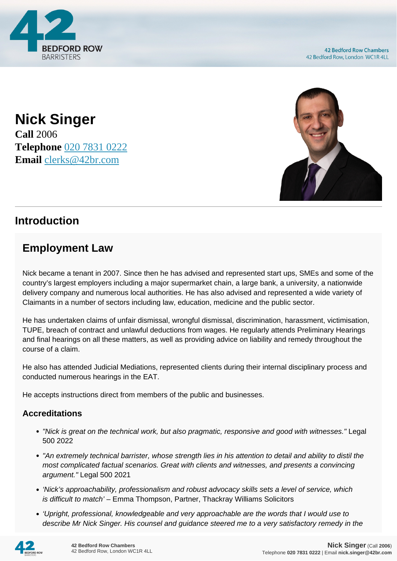



**Nick Singer Call** 2006 **Telephone** [020 7831 0222](https://pdf.codeshore.co/_42br/tel:020 7831 0222) **Email** [clerks@42br.com](mailto:clerks@42br.com)

## **Introduction**

# **Employment Law**

Nick became a tenant in 2007. Since then he has advised and represented start ups, SMEs and some of the country's largest employers including a major supermarket chain, a large bank, a university, a nationwide delivery company and numerous local authorities. He has also advised and represented a wide variety of Claimants in a number of sectors including law, education, medicine and the public sector.

He has undertaken claims of unfair dismissal, wrongful dismissal, discrimination, harassment, victimisation, TUPE, breach of contract and unlawful deductions from wages. He regularly attends Preliminary Hearings and final hearings on all these matters, as well as providing advice on liability and remedy throughout the course of a claim.

He also has attended Judicial Mediations, represented clients during their internal disciplinary process and conducted numerous hearings in the EAT.

He accepts instructions direct from members of the public and businesses.

### **Accreditations**

- "Nick is great on the technical work, but also pragmatic, responsive and good with witnesses." Legal 500 2022
- "An extremely technical barrister, whose strength lies in his attention to detail and ability to distil the most complicated factual scenarios. Great with clients and witnesses, and presents a convincing argument." Legal 500 2021
- 'Nick's approachability, professionalism and robust advocacy skills sets a level of service, which is difficult to match' - Emma Thompson, Partner, Thackray Williams Solicitors
- 'Upright, professional, knowledgeable and very approachable are the words that I would use to describe Mr Nick Singer. His counsel and guidance steered me to a very satisfactory remedy in the

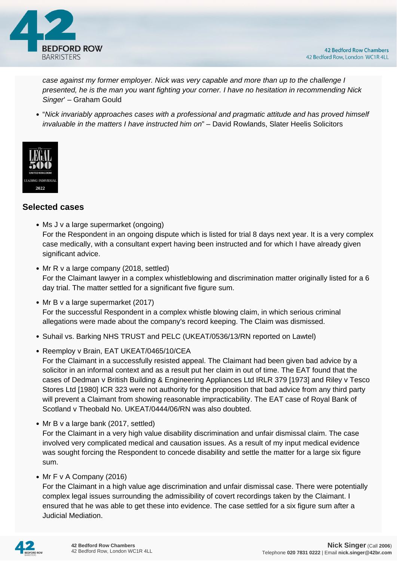

case against my former employer. Nick was very capable and more than up to the challenge I presented, he is the man you want fighting your corner. I have no hesitation in recommending Nick Singer' – Graham Gould

"Nick invariably approaches cases with a professional and pragmatic attitude and has proved himself invaluable in the matters I have instructed him on" – David Rowlands, Slater Heelis Solicitors



#### **Selected cases**

- Ms J v a large supermarket (ongoing) For the Respondent in an ongoing dispute which is listed for trial 8 days next year. It is a very complex case medically, with a consultant expert having been instructed and for which I have already given significant advice.
- Mr R v a large company (2018, settled) For the Claimant lawyer in a complex whistleblowing and discrimination matter originally listed for a 6 day trial. The matter settled for a significant five figure sum.
- Mr B v a large supermarket (2017) For the successful Respondent in a complex whistle blowing claim, in which serious criminal allegations were made about the company's record keeping. The Claim was dismissed.
- Suhail vs. Barking NHS TRUST and PELC (UKEAT/0536/13/RN reported on Lawtel)
- Reemploy v Brain, EAT UKEAT/0465/10/CEA

For the Claimant in a successfully resisted appeal. The Claimant had been given bad advice by a solicitor in an informal context and as a result put her claim in out of time. The EAT found that the cases of Dedman v British Building & Engineering Appliances Ltd IRLR 379 [1973] and Riley v Tesco Stores Ltd [1980] ICR 323 were not authority for the proposition that bad advice from any third party will prevent a Claimant from showing reasonable impracticability. The EAT case of Royal Bank of Scotland v Theobald No. UKEAT/0444/06/RN was also doubted.

• Mr B v a large bank (2017, settled)

For the Claimant in a very high value disability discrimination and unfair dismissal claim. The case involved very complicated medical and causation issues. As a result of my input medical evidence was sought forcing the Respondent to concede disability and settle the matter for a large six figure sum.

• Mr F v A Company (2016)

For the Claimant in a high value age discrimination and unfair dismissal case. There were potentially complex legal issues surrounding the admissibility of covert recordings taken by the Claimant. I ensured that he was able to get these into evidence. The case settled for a six figure sum after a Judicial Mediation.

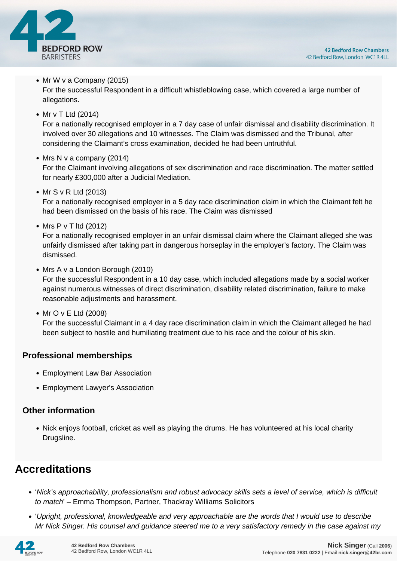

#### • Mr W v a Company (2015)

For the successful Respondent in a difficult whistleblowing case, which covered a large number of allegations.

• Mr v T Ltd (2014)

For a nationally recognised employer in a 7 day case of unfair dismissal and disability discrimination. It involved over 30 allegations and 10 witnesses. The Claim was dismissed and the Tribunal, after considering the Claimant's cross examination, decided he had been untruthful.

#### • Mrs N v a company (2014)

For the Claimant involving allegations of sex discrimination and race discrimination. The matter settled for nearly £300,000 after a Judicial Mediation.

• Mr S v R Ltd (2013)

For a nationally recognised employer in a 5 day race discrimination claim in which the Claimant felt he had been dismissed on the basis of his race. The Claim was dismissed

• Mrs P v T ltd (2012)

For a nationally recognised employer in an unfair dismissal claim where the Claimant alleged she was unfairly dismissed after taking part in dangerous horseplay in the employer's factory. The Claim was dismissed.

• Mrs A v a London Borough (2010)

For the successful Respondent in a 10 day case, which included allegations made by a social worker against numerous witnesses of direct discrimination, disability related discrimination, failure to make reasonable adjustments and harassment.

• Mr O v E Ltd (2008)

For the successful Claimant in a 4 day race discrimination claim in which the Claimant alleged he had been subject to hostile and humiliating treatment due to his race and the colour of his skin.

### **Professional memberships**

- Employment Law Bar Association
- Employment Lawyer's Association

### **Other information**

• Nick enjoys football, cricket as well as playing the drums. He has volunteered at his local charity Drugsline.

## **Accreditations**

- 'Nick's approachability, professionalism and robust advocacy skills sets a level of service, which is difficult to match' – Emma Thompson, Partner, Thackray Williams Solicitors
- 'Upright, professional, knowledgeable and very approachable are the words that I would use to describe Mr Nick Singer. His counsel and guidance steered me to a very satisfactory remedy in the case against my

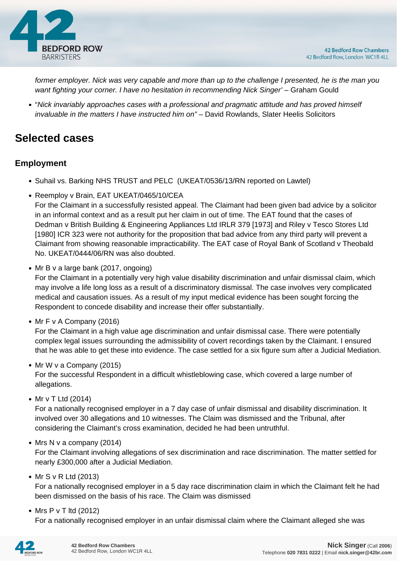

former employer. Nick was very capable and more than up to the challenge I presented, he is the man you want fighting your corner. I have no hesitation in recommending Nick Singer' – Graham Gould

"Nick invariably approaches cases with a professional and pragmatic attitude and has proved himself invaluable in the matters I have instructed him on" – David Rowlands, Slater Heelis Solicitors

# **Selected cases**

### **Employment**

- Suhail vs. Barking NHS TRUST and PELC (UKEAT/0536/13/RN reported on Lawtel)
- Reemploy v Brain, EAT UKEAT/0465/10/CEA

For the Claimant in a successfully resisted appeal. The Claimant had been given bad advice by a solicitor in an informal context and as a result put her claim in out of time. The EAT found that the cases of Dedman v British Building & Engineering Appliances Ltd IRLR 379 [1973] and Riley v Tesco Stores Ltd [1980] ICR 323 were not authority for the proposition that bad advice from any third party will prevent a Claimant from showing reasonable impracticability. The EAT case of Royal Bank of Scotland v Theobald No. UKEAT/0444/06/RN was also doubted.

• Mr B v a large bank (2017, ongoing)

For the Claimant in a potentially very high value disability discrimination and unfair dismissal claim, which may involve a life long loss as a result of a discriminatory dismissal. The case involves very complicated medical and causation issues. As a result of my input medical evidence has been sought forcing the Respondent to concede disability and increase their offer substantially.

• Mr F v A Company  $(2016)$ 

For the Claimant in a high value age discrimination and unfair dismissal case. There were potentially complex legal issues surrounding the admissibility of covert recordings taken by the Claimant. I ensured that he was able to get these into evidence. The case settled for a six figure sum after a Judicial Mediation.

• Mr W v a Company (2015)

For the successful Respondent in a difficult whistleblowing case, which covered a large number of allegations.

• Mr v T Ltd (2014)

For a nationally recognised employer in a 7 day case of unfair dismissal and disability discrimination. It involved over 30 allegations and 10 witnesses. The Claim was dismissed and the Tribunal, after considering the Claimant's cross examination, decided he had been untruthful.

 $\bullet$  Mrs N v a company (2014)

For the Claimant involving allegations of sex discrimination and race discrimination. The matter settled for nearly £300,000 after a Judicial Mediation.

• Mr S v R Ltd (2013)

For a nationally recognised employer in a 5 day race discrimination claim in which the Claimant felt he had been dismissed on the basis of his race. The Claim was dismissed

• Mrs P v T ltd (2012)

For a nationally recognised employer in an unfair dismissal claim where the Claimant alleged she was